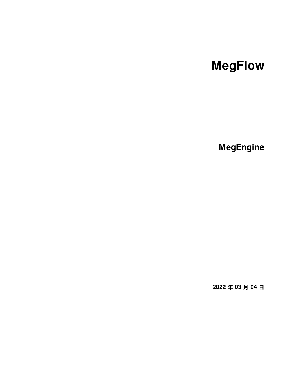# **MegFlow**

**MegEngine**

**2022 年 03 月 04 日**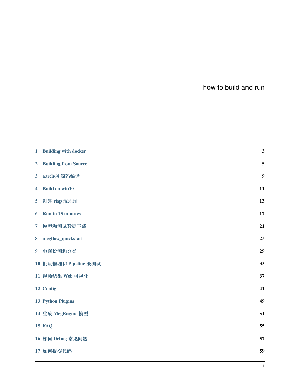## how to build and run

| $\mathbf{1}$            | <b>Building with docker</b> | 3  |
|-------------------------|-----------------------------|----|
| $\overline{2}$          | <b>Building from Source</b> | 5  |
| $\overline{\mathbf{3}}$ | aarch64 源码编译                | 9  |
| 4                       | <b>Build on win10</b>       | 11 |
| 5                       | 创建 rtsp 流地址                 | 13 |
| 6                       | Run in 15 minutes           | 17 |
| $\overline{7}$          | 模型和测试数据下载                   | 21 |
| 8                       | megflow_quickstart          | 23 |
| $\boldsymbol{9}$        | 串联检测和分类                     | 29 |
|                         | 10 批量推理和 Pipeline 级测试       | 33 |
|                         | 11 视频结果 Web 可视化             | 37 |
|                         | 12 Config                   | 41 |
|                         | <b>13 Python Plugins</b>    | 49 |
|                         | 14 生成 MegEngine 模型          | 51 |
|                         | <b>15 FAQ</b>               | 55 |
|                         | 16 如何 Debug 常见问题            | 57 |
|                         | 17 如何提交代码                   | 59 |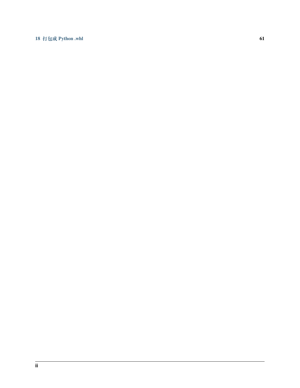#### **18 打包成 [Python .whl](#page-64-0) 61**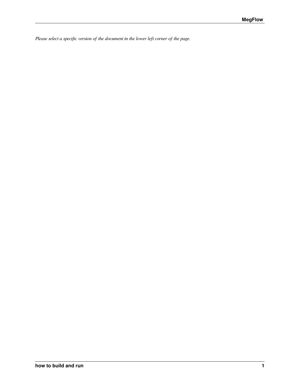*Please select a specific version of the document in the lower left corner of the page.*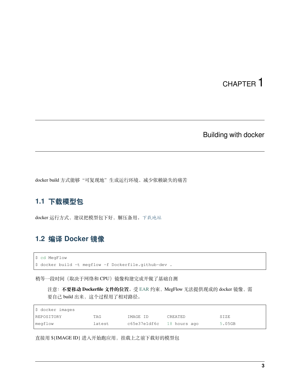Building with docker

<span id="page-6-0"></span>docker build 方式能够"可复现地"生成运行环境、减少依赖缺失的痛苦

### **1.1 下载模型包**

docker 运行方式,建议把模型包下好,解压备用。[下载地址](#page-24-0)

### **1.2 编译 Docker 镜像**

\$ cd MegFlow \$ docker build -t megflow -f Dockerfile.github-dev .

稍等一段时间(取决于网络和 CPU)镜像构建完成并做了基础自测

注意: 不要移动 Dockerfile 文件的位置。受 [EAR](https://www.federalregister.gov/documents/2019/10/09/2019-22210/addition-of-certain-entities-to-the-entity-list) 约束, MegFlow 无法提供现成的 docker 镜像, 需 要自己 build 出来,这个过程用了相对路径。

| \$ docker images |        |                           |         |        |  |  |  |
|------------------|--------|---------------------------|---------|--------|--|--|--|
| REPOSITORY       | TAG    | IMAGE ID                  | CREATED | SIZE   |  |  |  |
| megflow          | latest | c65e37e1df6c 18 hours ago |         | 5.05GB |  |  |  |

直接用 \${IMAGE ID} 进入开始跑应用, 挂载上之前下载好的模型包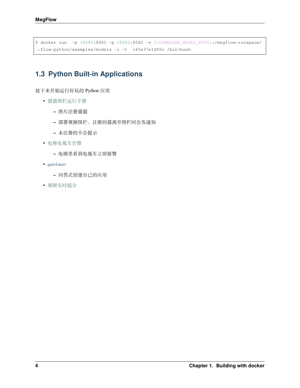```
$ docker run -p 18081:8081 -p 18082:8082 -v ${DOWNLOAD_MODEL_PATH}:/megflow-runspace/
,→flow-python/examples/models -i -t c65e37e1df6c /bin/bash
```
## **1.3 Python Built-in Applications**

接下来开始运行好玩的 Python 应用

- [猫猫围栏运行手册](https://github.com/MegEngine/MegFlow/tree/master/flow-python/examples/application/cat_finder)
	- **–** 图片注册猫猫
	- **–** 部署视频围栏,注册的猫离开围栏时会发通知
	- **–** 未注册的不会提示
- [电梯电瓶车告警](https://github.com/MegEngine/MegFlow/tree/master/flow-python/examples/application/electric_bicycle)
	- **–** 电梯里看到电瓶车立即报警
- *[quickstart](#page-26-0)*
	- **–** 问答式创建自己的应用
- [视频实时超分](https://github.com/MegEngine/MegFlow/tree/master/flow-python/examples/application/video_super_resolution)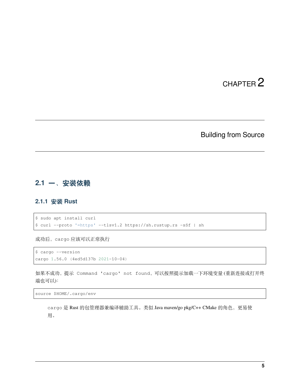#### Building from Source

#### <span id="page-8-0"></span>**2.1 一、安装依赖**

#### **2.1.1 安装 Rust**

```
$ sudo apt install curl
$ curl --proto '=https' --tlsv1.2 https://sh.rustup.rs -sSf | sh
```
成功后,cargo 应该可以正常执行

```
$ cargo --version
cargo 1.56.0 (4ed5d137b 2021-10-04)
```
如果不成功,提示 Command 'cargo' not found,可以按照提示加载一下环境变量 (重新连接或打开终 端也可以):

```
source $HOME/.cargo/env
```
cargo 是 Rust 的包管理器兼编译辅助工具。类似 Java maven/go pkg/C++ CMake 的角色, 更易使 用。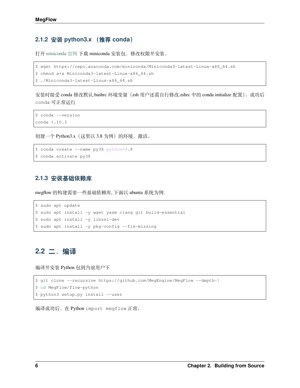#### **2.1.2 安装 python3.x (推荐 conda)**

打开 [miniconda](https://docs.conda.io/en/latest/miniconda.html) 官网 下载 miniconda 安装包,修改权限并安装。

```
$ wget https://repo.anaconda.com/miniconda/Miniconda3-latest-Linux-x86_64.sh
```

```
$ chmod a+x Miniconda3-latest-Linux-x86_64.sh
```

```
$ ./Miniconda3-latest-Linux-x86_64.sh
```
安装时接受 conda 修改默认.bashrc 环境变量(zsh 用户还需自行修改.zshrc 中的 conda initialize 配置)。成功后 conda 可正常运行

\$ conda --version conda 4.10.3

创建一个 Python3.x (这里以 3.8 为例) 的环境, 激活。

```
$ conda create --name py38 python=3.8
$ conda activate py38
```
#### **2.1.3 安装基础依赖库**

megflow 的构建需要一些基础依赖库, 下面以 ubuntu 系统为例:

```
$ sudo apt update
$ sudo apt install -y wget yasm clang git build-essential
$ sudo apt install -y libssl-dev
$ sudo apt install -y pkg-config --fix-missing
```
## **2.2 二、编译**

编译并安装 Python 包到当前用户下

```
$ git clone --recursive https://github.com/MegEngine/MegFlow --depth=1
$ cd MegFlow/flow-python
$ python3 setup.py install --user
```
编译成功后,在 Python import megflow 正常。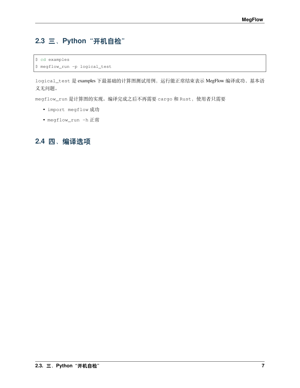## **2.3 三、Python"开机自检"**

\$ cd examples

\$ megflow\_run -p logical\_test

logical\_test 是 examples 下最基础的计算图测试用例,运行能正常结束表示 MegFlow 编译成功、基本语 义无问题。

megflow\_run 是计算图的实现。编译完成之后不再需要 cargo 和 Rust,使用者只需要

- import megflow 成功
- megflow\_run -h 正常

### **2.4 四、编译选项**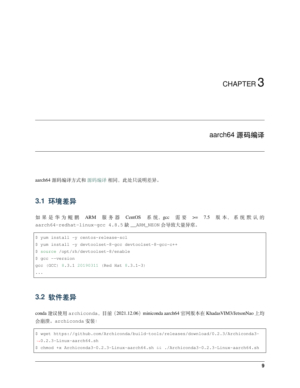#### aarch64 源码编译

<span id="page-12-0"></span>aarch64 源码编译方式和 [源码编译](build-from-source.zh) 相同,此处只说明差异。

#### **3.1 环境差异**

如 果 是 华 为 鲲 鹏 ARM 服 务 器 CentOS 系 统, gcc 需 要 >= 7.5 版 本, 系 统 默 认 的 aarch64-redhat-linux-gcc 4.8.5 缺 \_\_ARM\_NEON 会导致大量异常。

```
$ yum install -y centos-release-scl
$ yum install -y devtoolset-8-gcc devtoolset-8-gcc-c++
$ source /opt/rh/devtoolset-8/enable
$ gcc --version
gcc (GCC) 8.3.1 20190311 (Red Hat 8.3.1-3)
...
```
## **3.2 软件差异**

conda 建议使用 archiconda, 目前 (2021.12.06) miniconda aarch64 官网版本在 KhadasVIM3/JetsonNao 上均 会崩溃。archiconda 安装:

```
$ wget https://github.com/Archiconda/build-tools/releases/download/0.2.3/Archiconda3-
,→0.2.3-Linux-aarch64.sh
$ chmod +x Archiconda3-0.2.3-Linux-aarch64.sh && ./Archiconda3-0.2.3-Linux-aarch64.sh
```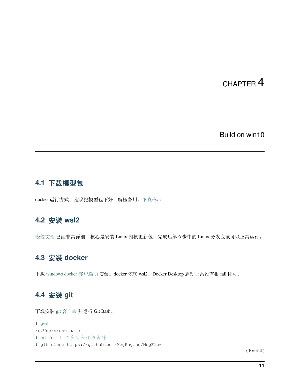#### Build on win10

#### <span id="page-14-0"></span>**4.1 下载模型包**

docker 运行方式,建议把模型包下好,解压备用。[下载地址](#page-24-0)

### **4.2 安装 wsl2**

[安装文档](https://docs.microsoft.com/zh-cn/windows/wsl/install-win10) 已经非常详细,核心是安装 Linux 内核更新包。完成后第6步中的 Linux 分发应该可以正常运行。

## **4.3 安装 docker**

下载 [windows docker](https://www.docker.com/products/docker-desktop) 客户端 并安装。docker 依赖 wsl2, Docker Desktop 启动正常没有报 fail 即可。

### **4.4 安装 git**

下载安装 git [客户端](https://git-scm.com/downloads) 并运行 Git Bash。

```
$ pwd
/c/Users/username
$ cd /d # 切换到合适的盘符
$ git clone https://github.com/MegEngine/MegFlow
```
(下页继续)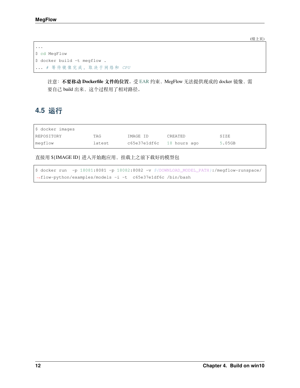(续上页)

```
...
$ cd MegFlow
$ docker build -t megflow .
... # 等 待 镜 像 完 成 , 取 决 于 网 络 和 CPU
```
注意: 不要移动 Dockerfile 文件的位置。受 [EAR](https://www.federalregister.gov/documents/2019/10/09/2019-22210/addition-of-certain-entities-to-the-entity-list) 约束, MegFlow 无法提供现成的 docker 镜像, 需 要自己 build 出来,这个过程用了相对路径。

## **4.5 运行**

| \$ docker images |        |                           |         |        |  |  |  |  |  |
|------------------|--------|---------------------------|---------|--------|--|--|--|--|--|
| REPOSITORY       | TAG    | IMAGE ID                  | CREATED | SIZE   |  |  |  |  |  |
| megflow          | latest | c65e37e1df6c 18 hours ago |         | 5.05GB |  |  |  |  |  |

直接用 \${IMAGE ID} 进入开始跑应用, 挂载上之前下载好的模型包

\$ docker run -p 18081:8081 -p 18082:8082 -v *\${*DOWNLOAD\_MODEL\_PATH*}*:/megflow-runspace/ *,→*flow-python/examples/models -i -t c65e37e1df6c /bin/bash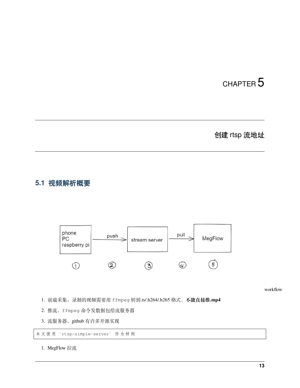## 创建 rtsp 流地址

#### <span id="page-16-0"></span>**5.1 视频解析概要**



workflow

- 1. 前端采集。录制的视频需要用 ffmpeg 转到.ts/.h264/.h265 格式,**不能直接推.mp4**
- 2. 推流。ffmpeg 命令发数据包给流服务器
- 3. 流服务器。github 有许多开源实现

本 文 使 用 `rtsp-simple-server` 作 为 样 例

1. MegFlow 拉流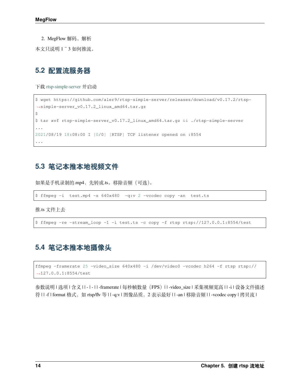2. MegFlow 解码、解析

本文只说明 1~3 如何推流。

#### **5.2 配置流服务器**

下载 [rtsp-simple-server](https://github.com/aler9/rtsp-simple-server/releases/tag/v0.17.2) 并启动

```
$ wget https://github.com/aler9/rtsp-simple-server/releases/download/v0.17.2/rtsp-
,→simple-server_v0.17.2_linux_amd64.tar.gz
\varsigma$ tar xvf rtsp-simple-server_v0.17.2_linux_amd64.tar.gz && ./rtsp-simple-server
...
2021/08/19 18:08:00 I [0/0] [RTSP] TCP listener opened on :8554
...
```
#### **5.3 笔记本推本地视频文件**

如果是手机录制的.mp4, 先转成.ts。移除音频(可选)。

\$ ffmpeg -i test.mp4 -s 640x480 -q:v 2 -vcodec copy -an test.ts

推.ts 文件上去

```
$ ffmpeg -re -stream_loop -1 -i test.ts -c copy -f rtsp rtsp://127.0.0.1:8554/test
```
#### **5.4 笔记本推本地摄像头**

```
ffmpeg -framerate 25 -video_size 640x480 -i /dev/video0 -vcodec h264 -f rtsp rtsp://
,→127.0.0.1:8554/test
```
参数说明 | 选项 | 含义 | | - | - | | -framerate | 每秒帧数量(FPS)| | -video\_size | 采集视频宽高 | | -i | 设备文件描述 符 | | -f | format 格式, 如 rtsp/flv 等 | | -q:v | 图像品质, 2 表示最好 | | -an | 移除音频 | | -vcodec copy | 拷贝流 |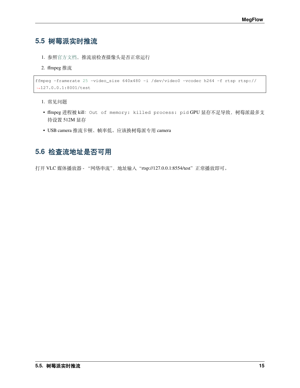### **5.5 树莓派实时推流**

- 1. 参照[官方文档,](https://www.raspberrypi.org/documentation/accessories/camera.html)推流前检查摄像头是否正常运行
- 2. ffmpeg 推流

```
ffmpeg -framerate 25 -video_size 640x480 -i /dev/video0 -vcodec h264 -f rtsp rtsp://
,→127.0.0.1:8001/test
```
1. 常见问题

- ffmpeg 进程被 kill:Out of memory: killed process: pid GPU 显存不足导致,树莓派最多支 持设置 512M 显存
- USB camera 推流卡顿、帧率低。应该换树莓派专用 camera

#### **5.6 检查流地址是否可用**

打开 VLC 媒体播放器 - "网络串流", 地址输入 "rtsp://127.0.0.1:8554/test"正常播放即可。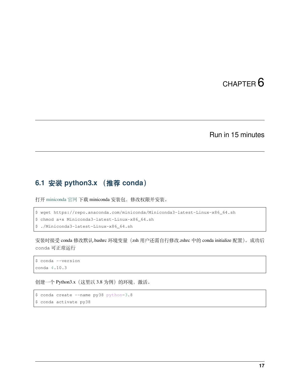#### Run in 15 minutes

## <span id="page-20-0"></span>**6.1 安装 python3.x (推荐 conda)**

打开 [miniconda](https://docs.conda.io/en/latest/miniconda.html) 官网 下载 miniconda 安装包,修改权限并安装。

```
$ wget https://repo.anaconda.com/miniconda/Miniconda3-latest-Linux-x86_64.sh
$ chmod a+x Miniconda3-latest-Linux-x86_64.sh
```
\$ ./Miniconda3-latest-Linux-x86\_64.sh

安装时接受 conda 修改默认.bashrc 环境变量(zsh 用户还需自行修改.zshrc 中的 conda initialize 配置)。成功后 conda 可正常运行

```
$ conda --version
conda 4.10.3
```
创建一个 Python3.x(这里以 3.8 为例)的环境, 激活。

```
$ conda create --name py38 python=3.8
$ conda activate py38
```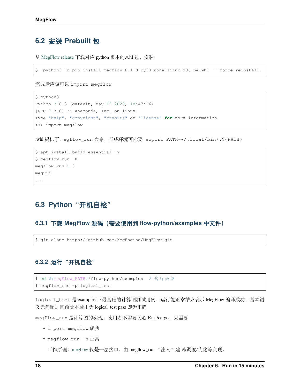### **6.2 安装 Prebuilt 包**

从 [MegFlow release](https://github.com/MegEngine/MegFlow/releases) 下载对应 python 版本的.whl 包, 安装

\$ python3 -m pip install megflow-0.1.0-py38-none-linux\_x86\_64.whl --force-reinstall

完成后应该可以 import megflow

```
$ python3
Python 3.8.3 (default, May 19 2020, 18:47:26)
[GCC 7.3.0] :: Anaconda, Inc. on linux
Type "help", "copyright", "credits" or "license" for more information.
>>> import megflow
```
.whl 提供了 megflow\_run 命令,某些环境可能要 export PATH=~/.local/bin/:\${PATH}

```
$ apt install build-essential -y
$ megflow_run -h
megflow_run 1.0
megvii
```

```
...
```
#### **6.3 Python"开机自检"**

#### **6.3.1 下载 MegFlow 源码(需要使用到 flow-python/examples 中文件)**

\$ git clone https://github.com/MegEngine/MegFlow.git

#### **6.3.2 运行"开机自检"**

```
$ cd ${MegFlow_PATH}/flow-python/examples # 这 行 必 须
$ megflow_run -p logical_test
```
logical\_test 是 examples 下最基础的计算图测试用例,运行能正常结束表示 MegFlow 编译成功、基本语 义无问题。目前版本输出为 logical\_test pass 即为正确

megflow\_run 是计算图的实现。使用者不需要关心 Rust/cargo,只需要

- import megflow 成功
- megflow\_run -h 正常

工作原理: [megflow](https://github.com/MegEngine/MegFlow/blob/master/flow-python/megflow/__init__.py) 仅是一层接口, 由 megflow\_run "注入"建图/调度/优化等实现。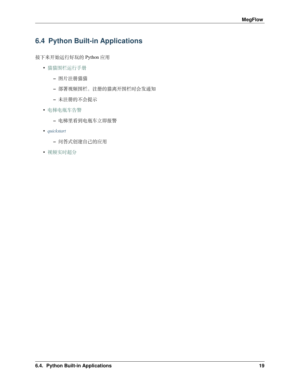## **6.4 Python Built-in Applications**

接下来开始运行好玩的 Python 应用

- [猫猫围栏运行手册](https://github.com/MegEngine/MegFlow/tree/master/flow-python/examples/application/cat_finder)
	- **–** 图片注册猫猫
	- **–** 部署视频围栏,注册的猫离开围栏时会发通知
	- **–** 未注册的不会提示
- [电梯电瓶车告警](https://github.com/MegEngine/MegFlow/tree/master/flow-python/examples/application/electric_bicycle)
	- **–** 电梯里看到电瓶车立即报警
- *[quickstart](#page-26-0)*
	- **–** 问答式创建自己的应用
- [视频实时超分](https://github.com/MegEngine/MegFlow/tree/master/flow-python/examples/application/video_super_resolution)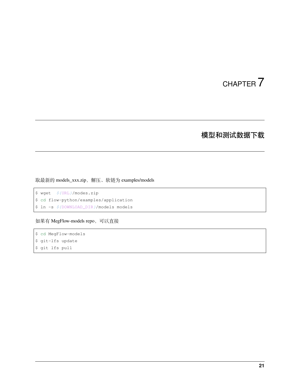## 模型和测试数据下载

<span id="page-24-0"></span>取最新的 models\_xxx.zip, 解压、软链为 examples/models

\$ wget *\${*URL*}*/modes.zip \$ cd flow-python/examples/application \$ ln -s *\${*DOWNLOAD\_DIR*}*/models models

如果有 MegFlow-models repo,可以直接

\$ cd MegFlow-models \$ git-lfs update \$ git lfs pull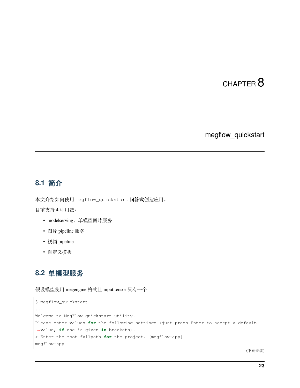## CHAPTER<sup>8</sup>

#### megflow\_quickstart

### <span id="page-26-0"></span>**8.1 简介**

本文介绍如何使用 megflow\_quickstart **问答式**创建应用。

目前支持 4 种用法:

- modelserving。单模型图片服务
- 图片 pipeline 服务
- 视频 pipeline
- 自定义模板

### **8.2 单模型服务**

假设模型使用 megengine 格式且 input tensor 只有一个

```
$ megflow_quickstart
...
Welcome to MegFlow quickstart utility.
Please enter values for the following settings (just press Enter to accept a default.
,→value, if one is given in brackets).
> Enter the root fullpath for the project. [megflow-app]
megflow-app
```
(下页继续)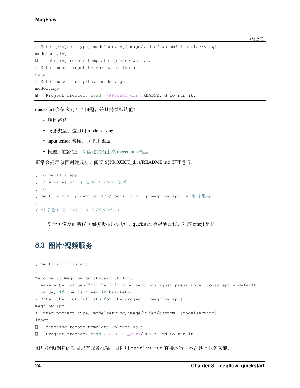```
(续上页)
```

```
> Enter project type, modelserving/image/video/custom? [modelserving]
modelserving
 fetching remote template, please wait...
> Enter model input tensor name. [data]
data
> Enter model fullpath. [model.mge]
model.mge
 Project created, read ${PROJECT_dir}/README.md to run it.
```
quickstart 会依次问几个问题,并且提供默认值:

- 项目路径
- 服务类型, 这里用 modelserving
- input tensor 名称,这里用 data
- 模型所在路径。[阅读此文档生成](appendix-C-dump-model.zh) megengine 模型

正常会提示项目创建成功,阅读 \${PROJECT\_dir}/README.md 即可运行。

```
$ cd megflow-app
$ ./requires.sh # 安 装 Python 依 赖
$ cd ..
$ megflow_run -p megflow-app/config.toml -p megflow-app # 运 行 服 务
...
# 浏 览 器 打 开 127.0.0.1:8080/docs
```
对于可恢复的错误(如模板拉取失败), quickstart 会提醒重试, 对应 emoji 是 !!

### **8.3 图片/视频服务**

```
$ megflow_quickstart
...
Welcome to MegFlow quickstart utility.
Please enter values for the following settings (just press Enter to accept a default.
,→value, if one is given in brackets).
> Enter the root fullpath for the project. [megflow-app]
megflow-app
> Enter project type, modelserving/image/video/custom? [modelserving]
image
 fetching remote template, please wait...
 Project created, read ${PROJECT_dir}/README.md to run it.
```
图片/视频创建的项目只有服务框架,可以用 megflow\_run 直接运行,不含具体业务功能。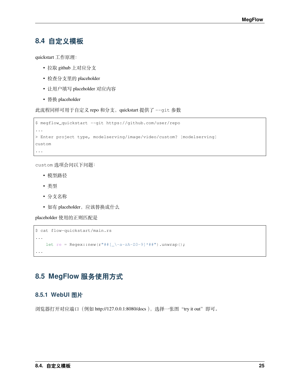#### **8.4 自定义模板**

quickstart 工作原理:

- 拉取 github 上对应分支
- 检查分支里的 placeholder
- 让用户填写 placeholder 对应内容
- 替换 placeholder

此流程同样可用于自定义 repo 和分支, quickstart 提供了 --git 参数

```
$ megflow_quickstart --git https://github.com/user/repo
...
> Enter project type, modelserving/image/video/custom? [modelserving]
custom
...
```
custom 选项会问以下问题:

- 模型路径
- 类型
- 分支名称
- 如有 placeholder, 应该替换成什么

placeholder 使用的正则匹配是

```
$ cat flow-quickstart/main.rs
...
    let re = Regex::new(r"##[_\-a-zA-Z0-9]*##").unwrap();
...
```
## **8.5 MegFlow 服务使用方式**

#### **8.5.1 WebUI 图片**

浏览器打开对应端口 (例如 http://127.0.0.1:8080/docs ), 选择一张图 "try it out"即可。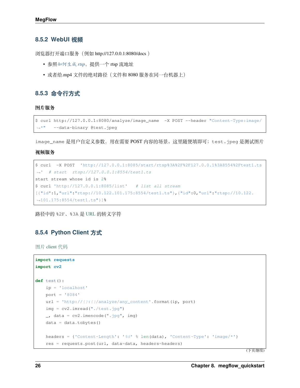#### **8.5.2 WebUI 视频**

浏览器打开端口服务(例如 http://127.0.0.1:8080/docs )

- 参照[如何生成](#page-16-0) *rtsp*,提供一个 rtsp 流地址
- 或者给.mp4 文件的绝对路径(文件和 8080 服务在同一台机器上)

#### **8.5.3 命令行方式**

**图片服务**

```
$ curl http://127.0.0.1:8080/analyze/image_name -X POST --header "Content-Type:image/
,→*" --data-binary @test.jpeg
```
image\_name 是用户自定义参数,用在需要 POST 内容的场景。这里随便填即可;test.jpeg 是测试图片

#### **视频服务**

```
$ curl -X POST 'http://127.0.0.1:8085/start/rtsp%3A%2F%2F127.0.0.1%3A8554%2Ftest1.ts
,→' # start rtsp://127.0.0.1:8554/test1.ts
start stream whose id is 2%
$ curl 'http://127.0.0.1:8085/list' # list all stream
[{"id":1,"url":"rtsp://10.122.101.175:8554/test1.ts"},{"id":0,"url":"rtsp://10.122.
,→101.175:8554/test1.ts"}]%
```
路径中的 %2F、%3A 是 [URL](https://www.ietf.org/rfc/rfc1738.txt) 的转义字符

#### **8.5.4 Python Client 方式**

图片 [client](https://github.com/MegEngine/MegFlow/blob/master/flow-python/examples/application/misc/image_client.py) 代码

```
import requests
import cv2
def test():
   ip = 'localhost'
   port = '8084'
   url = 'http://{}:{}/analyze/any_content'.format(ip, port)
   img = cv2.imread("./test.jpg")
   \Box, data = cv2. imencode (".jpg", img)
   data = data.tobytes()
   headers = {'Content-Length': '%d' % len(data), 'Content-Type': 'image/*'}
    res = requests.post(url, data=data, headers=headers)
```
(下页继续)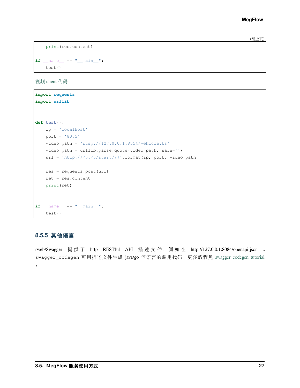(续上页)

```
print(res.content)
if __name__ == "__main__":
   test()
```
视频 [client](https://github.com/MegEngine/MegFlow/blob/master/flow-python/examples/application/misc/video_client.py) 代码

```
import requests
import urllib
def test():
   ip = 'localhost'
   port = '8085'
   video_path = 'rtsp://127.0.0.1:8554/vehicle.ts'
   video_path = urllib.parse.quote(video_path, safe='')
   url = 'http://{}:{}/start/{}'.format(ip, port, video_path)
   res = requests.post(url)
   ret = res.content
   print(ret)
if __name__ == "__main__":
   test()
```
#### **8.5.5 其他语言**

rweb/Swagger 提 供 了 http RESTful API 描 述 文 件, 例 如 在 http://127.0.0.1:8084/openapi.json 。 swagger\_codegen 可用描述文件生成 java/go 等语言的调用代码。更多教程见 [swagger codegen tutorial](https://swagger.io/tools/swagger-codegen/)  $\ddot{\phantom{0}}$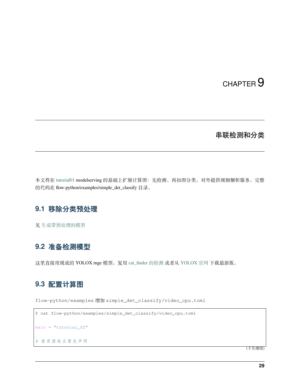## CHAPTER<sup>9</sup>

### 串联检测和分类

<span id="page-32-0"></span>本文将在 [tutorial01](01-quickstart.zh) modelserving 的基础上扩展计算图:先检测、再扣图分类。对外提供视频解析服务。完整 的代码在 flow-python/examples/simple\_det\_classify 目录。

## **9.1 移除分类预处理**

见 [生成带预处理的模型](appendix-C-dump-model.zh)

#### **9.2 准备检测模型**

这里直接用现成的 YOLOX mge 模型。复用 [cat\\_finder](https://github.com/MegEngine/MegFlow/blob/master/flow-python/examples/application/cat_finder/det.py) 的检测 或者从 [YOLOX](https://github.com/Megvii-BaseDetection/YOLOX/tree/main/demo/MegEngine/python) 官网 下载最新版。

#### **9.3 配置计算图**

flow-python/examples 增加 simple\_det\_classify/video\_cpu.toml

```
$ cat flow-python/examples/simple_det_classify/video_cpu.toml
main = "tutorial_02"
# 重 资 源 结 点 要 先 声 明
```
(下页继续)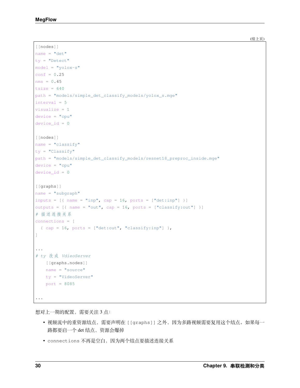```
(续上页)
```

```
[[nodes]]
name = "det"
ty = "Detect"
model = "yolox-s"
conf = 0.25nms = 0.45tsize = 640path = "models/simple_det_classify_models/yolox_s.mge"
interval = 5visualize = 1
device = "cpu"device_id = 0
[[nodes]]
name = "classify"
ty = "Classify"path = "models/simple_det_classify_models/resnet18_preproc_inside.mge"
device = "cpu"device id = 0[[graphs]]
name = "subgraph"
inputs = [\{ name = "inp", cap = 16, ports = ["det:inp"] \}]outputs = [{ name = "out", cap = 16, ports = ["classify:out"] }]
# 描 述 连 接 关 系
connections = [
  {cap = 16, ports = ['det:out", "classify:inp"]},
]
...
# ty 改 成 VdieoServer
   [[graphs.nodes]]
   name = "source"
   ty = "VideoServer"
   port = 8085...
```
想对上一期的配置,需要关注 3 点:

- 视频流中的重资源结点,需要声明在 [[graphs]] 之外,因为多路视频需要复用这个结点。如果每一 路都要启一个 det 结点,资源会爆掉
- connections 不再是空白,因为两个结点要描述连接关系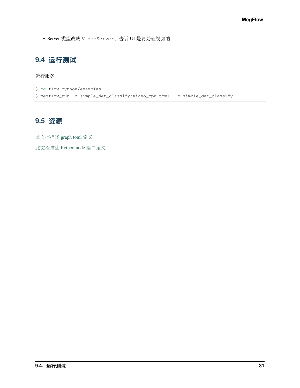• Server 类型改成 VideoServer,告诉 UI 是要处理视频的

## **9.4 运行测试**

#### 运行服务

```
$ cd flow-python/examples
$ megflow_run -c simple_det_classify/video_cpu.toml -p simple_det_classify
```
### **9.5 资源**

[此文档描述](appendix-A-graph-definition.zh) graph toml 定义

[此文档描述](appendix-B-python-plugin.zh) Python node 接口定义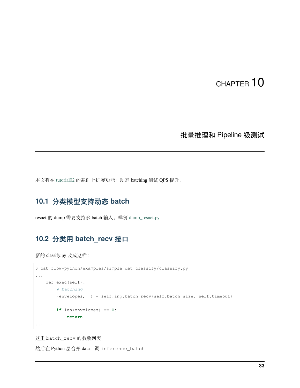#### 批量推理和 Pipeline 级测试

<span id="page-36-0"></span>本文将在 [tutorial02](02-det-attr.zh) 的基础上扩展功能: 动态 batching 测试 QPS 提升。

## **10.1 分类模型支持动态 batch**

resnet 的 dump 需要支持多 batch 输入,样例 [dump\\_resnet.py](https://github.com/MegEngine/MegFlow/blob/master/flow-python/examples/application/misc/dump_resnet.py)

### **10.2 分类用 batch\_recv 接口**

新的 classify.py 改成这样:

```
$ cat flow-python/examples/simple_det_classify/classify.py
...
   def exec(self):
        # batching
        (envelopes, _) = self.inp.batch_recv(self.batch_size, self.timeout)
        if len(envelopes) == 0:
            return
...
```
这里 batch\_recv 的参数列表

然后在 Python 层合并 data, 调 inference\_batch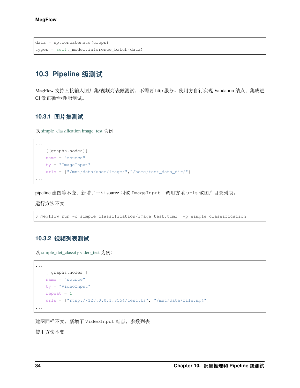```
data = np.concatenate(crops)
types = self._model.inference_batch(data)
```
### **10.3 Pipeline 级测试**

MegFlow 支持直接输入图片集/视频列表做测试, 不需要 http 服务。使用方自行实现 Validation 结点, 集成进 CI 做正确性/性能测试。

#### **10.3.1 图片集测试**

以 [simple\\_classification image\\_test](https://github.com/MegEngine/MegFlow/blob/master/flow-python/examples/application/simple_classification/image_test.toml) 为例

```
[[graphs.nodes]]
   name = "source"
   ty = "ImageInput"
   urls = ["/mnt/data/user/image/","/home/test_data_dir/"]
...
```
pipeline 建图等不变, 新增了一种 source 叫做 ImageInput, 调用方填 urls 做图片目录列表。

运行方法不变

...

```
$ megflow_run -c simple_classification/image_test.toml -p simple_classification
```
#### **10.3.2 视频列表测试**

以 [simple\\_det\\_classify video\\_test](https://github.com/MegEngine/MegFlow/blob/master/flow-python/examples/application/simple_det_classify/video_test.toml) 为例:

```
[[graphs.nodes]]
   name = "source"
   ty = "VideoInput"
   repeat = 1urls = ["rtsp://127.0.0.1:8554/test.ts", "/mnt/data/file.mp4"]
...
```
建图同样不变,新增了 VideoInput 结点,参数列表

使用方法不变

...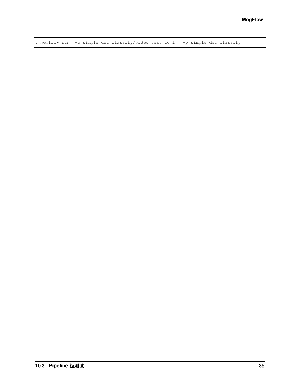\$ megflow\_run -c simple\_det\_classify/video\_test.toml -p simple\_det\_classify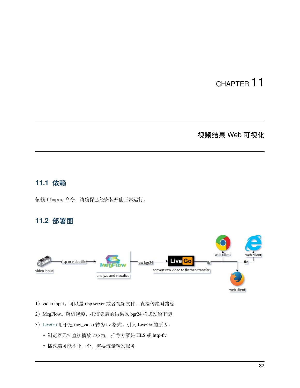#### 视频结果 Web 可视化

#### <span id="page-40-0"></span>**11.1 依赖**

依赖 ffmpeg 命令,请确保已经安装并能正常运行。

#### **11.2 部署图**



- 1) video input。可以是 rtsp server 或者视频文件, 直接传绝对路径
- 2)MegFlow。解析视频,把渲染后的结果以 bgr24 格式发给下游
- 3)[LiveGo](https://github.com/gwuhaolin/livego) 用于把 raw\_video 转为 flv 格式。引入 LiveGo 的原因:
	- 浏览器无法直接播放 rtsp 流,推荐方案是 HLS 或 http-flv
	- 播放端可能不止一个,需要流量转发服务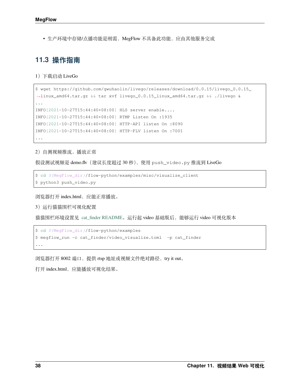• 生产环境中存储/点播功能是刚需,MegFlow 不具备此功能,应由其他服务完成

### **11.3 操作指南**

1)下载启动 LiveGo

```
$ wget https://github.com/gwuhaolin/livego/releases/download/0.0.15/livego_0.0.15_
,→linux_amd64.tar.gz && tar xvf livego_0.0.15_linux_amd64.tar.gz && ./livego &
...
INFO[2021-10-27T15:44:40+08:00] HLS server enable....
INFO[2021-10-27T15:44:40+08:00] RTMP Listen On :1935
INFO[2021-10-27T15:44:40+08:00] HTTP-API listen On :8090
INFO[2021-10-27T15:44:40+08:00] HTTP-FLV listen On :7001
...
```
2)自测视频推流、播放正常

假设测试视频是 demo.flv(建议长度超过 30 秒),使用 push\_video.py 推流到 LiveGo

```
$ cd ${MegFlow_dir}/flow-python/examples/misc/visualize_client
$ python3 push_video.py
```
浏览器打开 index.html,应能正常播放。

3)运行猫猫围栏可视化配置

猫猫围栏环境设置见 [cat\\_finder README](https://github.com/MegEngine/MegFlow/tree/master/flow-python/examples/application/cat_finder)。运行起 video 基础版后,能够运行 video 可视化版本

```
$ cd ${MegFlow_dir}/flow-python/examples
$ megflow_run -c cat_finder/video_visualize.toml -p cat_finder
...
```
浏览器打开 8002 端口, 提供 rtsp 地址或视频文件绝对路径, try it out。

打开 index.html, 应能播放可视化结果。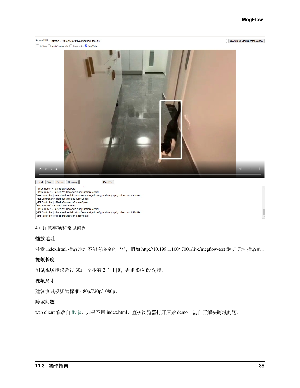#### **MegFlow**



#### 4)注意事项和常见问题

#### **播放地址**

注意 index.html 播放地址不能有多余的'/', 例如 http://10.199.1.100/:7001/live/megflow-test.flv 是无法播放的。

#### **视频长度**

测试视频建议超过 30s。至少有 2 个 I 帧, 否则影响 flv 转换。

#### **视频尺寸**

建议测试视频为标准 480p/720p/1080p。

#### **跨域问题**

web client 修改自 [flv.js](https://github.com/bilibili/flv.js)。如果不用 index.html、直接浏览器打开原始 demo, 需自行解决跨域问题。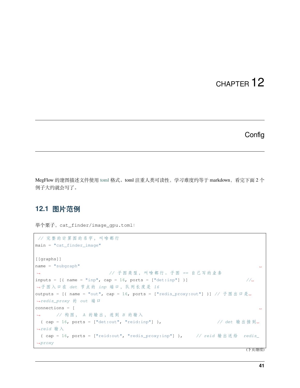#### **Config**

<span id="page-44-0"></span>MegFlow 的建图描述文件使用 [toml](https://toml.io/en/) 格式。toml 注重人类可读性, 学习难度约等于 markdown, 看完下面 2 个 例子大约就会写了。

### **12.1 图片范例**

```
举个栗子, cat_finder/image_gpu.toml:
```

```
// 完 整 的 计 算 图 的 名 字 , 叫 啥 都 行
main = "cat_finder_image"
[[graphs]]
name = "subgraph"→ → イン・シ → イン・チ 图 类 型 , 叫 啥 都 行 。 子 图 == 自 己 写 的 业 务
inputs = [{ name = "inp", cap = 16, ports = ["det:inp"] ] ] //
→子图入口在 det 节点的 inp 端口, 队列长度是 16
outputs = [{ name = "out", cap = 16, ports = ["redis_proxy:out"] }] // 子 图 出 口 是␣
,→redis_proxy 的 out 端 口
connections = [,→ // 构 图 , A 的 输 出 , 连 到 B 的 输 入
{ cap = 16, ports = ["det:out", "reid:inp"] }, // det 输 出 接 到␣
,→reid 输 入
 { cap = 16, ports = ["reid:out", "redis_proxy:inp"] }, // reid 输 出 送 给 redis_
,→proxy
```
(下页继续)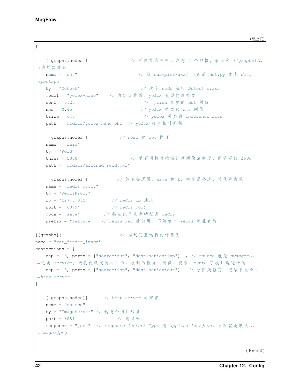]

```
[[graphs.nodes]] // 子 图 节 点 声 明 。 注 意 4 个 空 格 , 表 示 和 [[graphs]]␣
→的层次关系
   name = "det" // 找 examples/xxx/ 下 面 的 det.py 或 者 det␣
,→package
  ty = "Detect" // 这 个 node 执 行 Detect class
   model = "yolox-nano" // 自 定 义 参 数 ,yolox 模 型 构 造 需 要
  conf = 0.25 // yolox 需 要 的 det 阈 值
  nms = 0.45 // yolox 需 要 的 nms 阈 值
   tsize = 640 // yolox 需 要 的 inference size
   path = "models/yolox_nano.pkl" // yolox 模 型 相 对 路 径
  [[graphs.nodes]] // reid 和 det 同 理
   name = "reid"ty = "Reid"
   thres = 1300 // 里 面 用 拉 普 拉 斯 计 算 图 像 清 晰 度 , 阈 值 写 的 1300
   path = "models/aligned_reid.pkl"
  [[graphs.nodes]] // 纯 业 务 逻 辑 ,name 和 ty 字 段 是 必 选 , 其 他 看 需 求
   name = "redis\_proxy"ty = "RedisProxy"
   ip = "127.0.0.1" // redis ip 地 址
   port = "6379" // redis port
   mode = "save" // 控 制 此 节 点 存 特 征 进 redis
   prefix = "feature." // redis key 的 前 缀 , 不 然 整 个 redis 库 乱 乱 的
[[graphs]] // 描 述 完 整 运 行 的 计 算 图
name = "cat~finder~image"connections = [
 {cap = 16, ports = ['source.out", 'destination:inp"]}, // source 就是 swagger
,→这 类 service, 接 收 视 频 或 图 片 用 的 。 收 到 的 数 据 ( 图 像 、 视 频 、extra 字 段 ) 送 进 子 图
{ cap = 16, ports = ["source:inp", "destination:out"] } // 子图处理完, 把结果发给
,→http server
]
  [[graphs.nodes]] // http server 的 配 置
  name = "source"ty = "ImageServer" // 这 是 个 图 片 服 务
   port = 8081 // 端 口 号
   response = "json" // response Content-Type 用 application/json。 不 写 就 是 默 认 ␣
,→image/jpeg
```
(下页继续)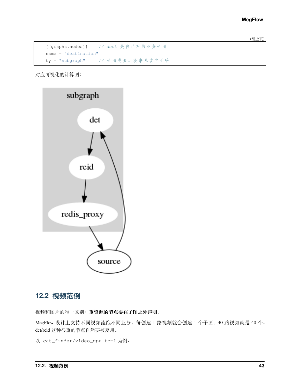(续上页)

|                        | [[graphs.nodes]] // dest 是自己写的业务子图 |  |
|------------------------|------------------------------------|--|
| $name = "destination"$ |                                    |  |
| $ty = "subgraph"$      | // 子图类型。没事儿改它干啥                    |  |

对应可视化的计算图:



### **12.2 视频范例**

视频和图片的唯一区别:**重资源的节点要在子图之外声明**。

MegFlow 设计上支持不同视频流跑不同业务。每创建 1 路视频就会创建 1 个子图,40 路视频就是 40 个。 det/reid 这种很重的节点自然要被复用。

以 cat\_finder/video\_gpu.toml 为例: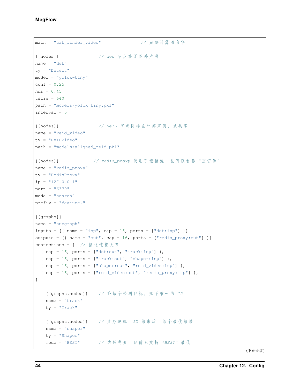```
main = "cat_finder_video" // 完整计算图名字
[[nodes]] // det 节 点 在 子 图 外 声 明
name = "det"ty = "Detect"
model = "yolox-tiny"
conf = 0.25nms = 0.45tsize = 640path = "models/yolox_tiny.pkl"
interval = 5
[[nodes]] // ReID 节 点 同 样 在 外 部 声 明 , 被 共 享
name = "reid_video"
ty = "ReIDVideo"
path = "models/aligned_reid.pkl"
[[nodes]] // redis_proxy 使用了连接池, 也可以看作"重资源"
name = "redis_proxy"
ty = "RedisProxy"
ip = "127.0.0.1"port = "6379"mode = "search"
prefix = "feature."
[[graphs]]
name = "subgraph"inputs = [{ name = "inp", cap = 16, ports = ["det:inp"] }]
outputs = [\{\text{name} = \text{"out", cap} = 16, \text{ports} = \text{['redis\_proxy:out"]}\}]connections = [ // 描 述 连 接 关 系
 { cap = 16, ports = ['det:out", "track:inp"]},
 {cap = 16, ports = ['track:out", "shaper:inp"]},
 { cap = 16, ports = ['shaper:out", 'reid_video:inp"]},
 { cap = 16, ports = ["reid_video:out", "redis_proxy:inp"] },
]
   [[graphs.nodes]] // 给 每 个 检 测 目 标 , 赋 予 唯 一 的 ID
   name = "track"ty = "Track"
   [[graphs.nodes]] // 业 务 逻 辑 :ID 结 束 后 , 给 个 最 优 结 果
   name = "shaper"
   ty = "Shaper"
   mode = "BEST" // 结 果 类 型 , 目 前 只 支 持 "BEST" 最 优
```
(下页继续)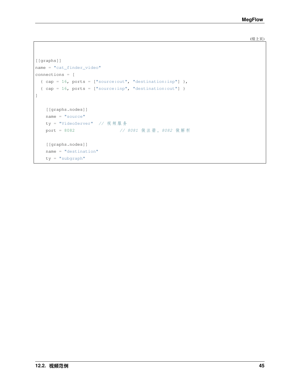(续上页)

```
[[graphs]]
name = "cat_finder_video"
connections = [
 { cap = 16, ports = ['source.out", 'destination:inp"],
 {cap = 16, ports = ['source:inp", 'destination:out"]}
]
   [[graphs.nodes]]
   name = "source"
   ty = "VideoServer" // 视 频 服 务
   port = 8082 // 8081 做 注 册 ,8082 做 解 析
   [[graphs.nodes]]
   name = "destination"
   ty = "subgraph"
```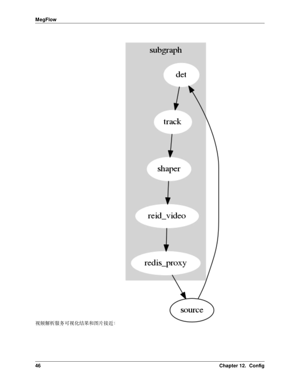

视频解析服务可视化结果和图片接近: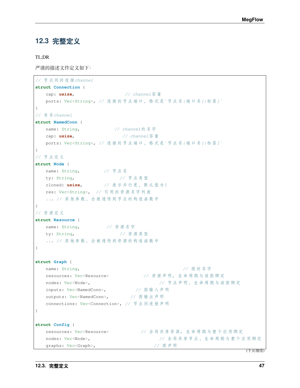### **12.3 完整定义**

TL;DR

严谨的描述文件定义如下:

```
// 节 点 间 的 连 接channel
struct Connection {
   cap: usize, // channel容 量
   ports: Vec<String>, // 连 接 的 节 点 端 口 , 格 式 是`节 点 名:端 口 名[:标 签]`
}
// 有 名channel
struct NamedConn {
   name: String, \frac{1}{2} // channel 的名字
   cap: usize, // channel容 量
   ports: Vec<String>, // 连 接 的 节 点 端 口 , 格 式 是`节 点 名:端 口 名[:标 签]`
}
// 节 点 定 义
struct Node {
   name: String, // 节点名
   ty: String, // 节 点 类 型
   cloned: usize, // 表 示 并 行 度 , 默 认 值 为1
   res: Vec<String>, // 引 用 的 资 源 名 字 列 表
    ... // 其 他 参 数 , 会 被 透 传 到 节 点 的 构 造 函 数 中
}
// 资 源 定 义
struct Resource {
   name: String, // 资源名字
   ty: String, // 资 源 类 型
    ... // 其他参数, 会被透传到资源的构造函数中
}
struct Graph {
   name: String, booking, booking and the set of the set of the set of the set of the set of the set of the set o
   resources: Vec<Resource> // 资 源 声 明, 生 命 周 期 与 该 图 绑 定
   nodes: Vec<Node>, but a set a set a set a set a set a set a set a set a set a set a set a set a set a set a set a set a set a set a set a set a set a set a set a set a set a set a set a set a set a set a set a set a set 
   inputs: Vec<NamedConn>, \hspace{1.6cm} // 图输入声明
   outputs: Vec<NamedConn>, // 图 输 出 声 明
   connections: Vec<Connection>, // 节 点 间 连 接 声 明
}
struct Config {
    resources: Vec<Resource> // 全 局 共 享 资 源, 生 命 周 期 与 整 个 应 用 绑 定
   nodes: Vec<Node>, but a set a set a set a set a set a set a set a set a set a set a set a set a set a set a set a set a set a set a set a set a set a set a set a set a set a set a set a set a set a set a set a set a set 
    graphs: Vec<Graph>, \angle // 图 声 明
```
(下页继续)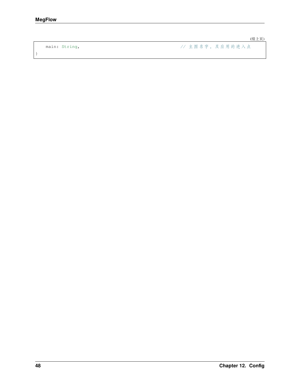}

(续上页)

main: String, **but a string, the string, the string, the string, the string, the string of the string of the string of the string of the string of the string of the string of the string of the string of the string of the**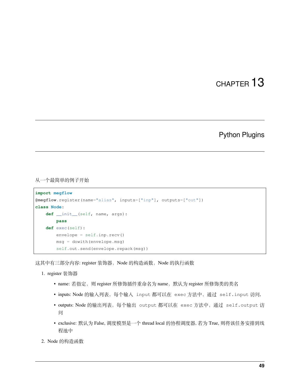#### Python Plugins

<span id="page-52-0"></span>从一个最简单的例子开始

```
import megflow
@megflow.register(name="alias", inputs=["inp"], outputs=["out"])
class Node:
   def __init__(self, name, args):
       pass
   def exec(self):
       envelope = self.inp.recv()
       msg = dowith(envelope.msg)
        self.out.send(envelope.repack(msg))
```
这其中有三部分内容: register 装饰器, Node 的构造函数, Node 的执行函数

- 1. register 装饰器
	- name: 若指定,则 register 所修饰插件重命名为 name,默认为 register 所修饰类的类名
	- inputs: Node 的输入列表,每个输入 input 都可以在 exec 方法中,通过 self.input 访问,
	- outputs: Node 的输出列表,每个输出 output 都可以在 exec 方法中,通过 self.output 访 问
	- exclusive: 默认为 False, 调度模型是一个 thread local 的协程调度器, 若为 True, 则将该任务安排到线 程池中
- 2. Node 的构造函数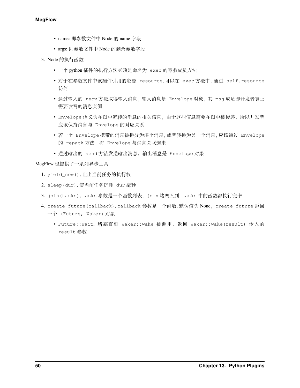- name: 即参数文件中 Node 的 name 字段
- args: 即参数文件中 Node 的剩余参数字段
- 3. Node 的执行函数
	- 一个 python 插件的执行方法必须是命名为 exec 的零参成员方法
	- 对于在参数文件中该插件引用的资源 resource, 可以在 exec 方法中,通过 self.resource 访问
	- 通过输入的 recv 方法取得输入消息,输入消息是 Envelope 对象,其 msg 成员即开发者真正 需要读写的消息实例
	- Envelope 语义为在图中流转的消息的相关信息,由于这些信息需要在图中被传递,所以开发者 应该保持消息与 Envelope 的对应关系
	- 若一个 Envelope 携带的消息被拆分为多个消息,或者转换为另一个消息,应该通过 Envelope 的 repack 方法,将 Envelope 与消息关联起来
	- 通过输出的 send 方法发送输出消息,输出消息是 Envelope 对象

#### MegFlow 也提供了一系列异步工具

- 1. yield\_now(), 让出当前任务的执行权
- 2. sleep(dur), 使当前任务沉睡 dur 毫秒
- 3. join(tasks), tasks 参数是一个函数列表, join 堵塞直到 tasks 中的函数都执行完毕
- 4. create\_future(callback), callback 参数是一个函数, 默认值为 None,create\_future 返回 一个 (Future, Waker) 对象
	- Future::wait, 堵塞直到 Waker::wake 被调用,返回 Waker::wake(result) 传入的 result 参数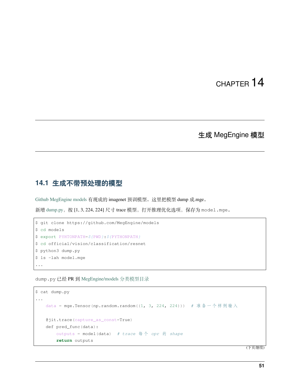### 生成 MegEngine 模型

#### <span id="page-54-0"></span>**14.1 生成不带预处理的模型**

[Github MegEngine models](https://github.com/MegEngine/models) 有现成的 imagenet 预训模型。这里把模型 dump 成.mge。

新增 [dump.py](https://github.com/MegEngine/Models/blob/master/official/vision/classification/dump.py), 按 [1, 3, 224, 224] 尺寸 trace 模型, 打开推理优化选项, 保存为 model.mge。

```
$ git clone https://github.com/MegEngine/models
$ cd models
$ export PYHTONPATH=${PWD}:${PYTHONPATH}
$ cd official/vision/classification/resnet
$ python3 dump.py
$ ls -lah model.mge
...
```
dump.py 已经 PR 到 [MegEngine/models](https://github.com/MegEngine/Models/tree/master/official/vision/classification) 分类模型目录

```
$ cat dump.py
...
   data = mge.Tensor(np.random.random((1, 3, 224, 224))) # 准备一个样例输入
   @jit.trace(capture_as_const=True)
   def pred_func(data):
       outputs = model(data) # trace 每 个 opr 的 shape
       return outputs
```
(下页继续)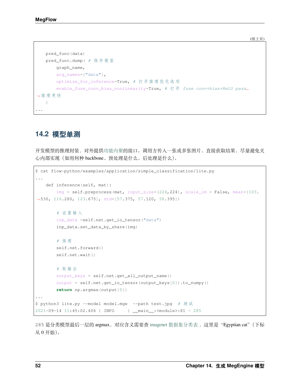(续上页)

```
pred_func(data)
   pred_func.dump( # 保 存 模 型
       graph_name,
       arg_names=["data"],
       optimize_for_inference=True, # 打 开 推 理 优 化 选 项
       enable_fuse_conv_bias_nonlinearity=True, # 打 开 fuse conv+bias+ReLU pass␣
,→推 理 更 快
  )...
```
#### **14.2 模型单测**

开发模型的推理封装,对外提[供功能内聚](https://baike.baidu.com/item/%E9%AB%98%E5%86%85%E8%81%9A%E4%BD%8E%E8%80%A6%E5%90%88/5227009)的接口。调用方传入一张或多张图片、直接获取结果,尽量避免关 心内部实现(如用何种 backbone、预处理是什么、后处理是什么)。

```
$ cat flow-python/examples/application/simple_classification/lite.py
...
   def inference(self, mat):
       img = self.preprocess(mat, input_size=(224,224), scale_im = False, mean=[103.
,→530, 116.280, 123.675], std=[57.375, 57.120, 58.395])
        # 设 置 输 入
        inp_data =self.net.get_io_tensor("data")
        inp_data.set_data_by_share(img)
        # 推 理
        self.net.forward()
        self.net.wait()
        # 取 输 出
       output_keys = self.net.get_all_output_name()
        output = self.net.get_io_tensor(output_keys[0]).to_numpy()
        return np.argmax(output[0])
...
$ python3 lite.py --model model.mge --path test.jpg # 测 试
2021-09-14 11:45:02.406 | INFO | __main__:<module>:81 - 285
```
285 是分类模型最后一层的 argmax, 对应含义需要查 imagenet [数据集分类表](../../flow-python/examples/application/simple_classification/synset_words.txt), 这里是"Egyptian cat"(下标 从 0 开始)。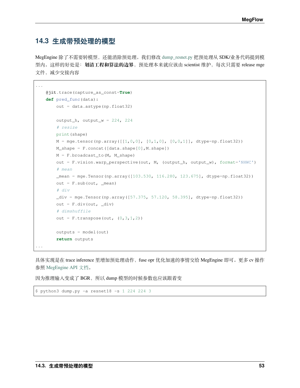### **14.3 生成带预处理的模型**

MegEngine 除了不需要转模型,还能消除预处理。我们修改 [dump\\_resnet.py](https://github.com/MegEngine/MegFlow/blob/master/flow-python/examples/application/misc/dump_resnet.py) 把预处理从 SDK/业务代码提到模 型内。这样的好处是: 划清工程和算法的边界, 预处理本来就应该由 scientist 维护, 每次只需要 release mge 文件,减少交接内容

```
@jit.trace(capture_as_const=True)
   def pred_func(data):
       out = data.astype(np.float32)
       output_h, output_w = 224, 224# resize
       print(shape)
       M = mge.tensor(np.array([[1,0,0], [0,1,0], [0,0,1]], dtype=np.float32))
       M_shape = F.concat([data.shape[0],M.shape])
       M = F. broadcast_to(M, M.shape)out = F.vision.warp_perspective(out, M, (output_h, output_w), format='NHWC')
        # mean
        _mean = mge.Tensor(np.array([103.530, 116.280, 123.675], dtype=np.float32))
       out = F.sub(out, _mean)# div
       \_div = mge. Tensor(np.array([57.375, 57.120, 58.395], dtype=np. float32))
       out = F.div(out, div)# dimshuffile
       out = F.transpose(out, (0, 3, 1, 2))
       outputs = model(out)
       return outputs
...
```
具体实现是在 trace inference 里增加预处理动作,fuse opr 优化加速的事情交给 MegEngine 即可。更多 cv 操作 参照 [MegEngine API](https://megengine.org.cn/doc/stable/zh/reference/api/megengine.functional.vision.warp_perspective.html?highlight=warp_perspective) 文档。

因为推理输入变成了 BGR, 所以 dump 模型的时候参数也应该跟着变

```
$ python3 dump.py -a resnet18 -s 1 224 224 3
```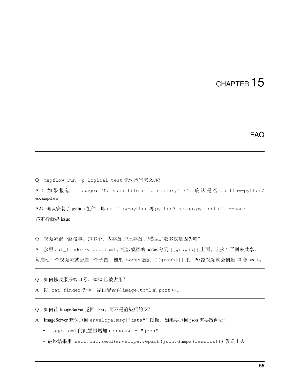#### FAQ

<span id="page-58-0"></span>Q: megflow\_run -p logical\_test 无法运行怎么办?

A1: 如 果 报 错 message: "No such file or directory" }', 确 认 是 否 cd flow-python/ examples

A2: 确认安装了 python 组件, 即 cd flow-python 再 python3 setup.py install --user 还不行就提 issue。

Q:视频流跑一路没事。跑多个,内存爆了/显存爆了/模型加载多次是因为啥?

A:参照 cat\_finder/video.toml,把涉模型的 nodes 移到 [[graphs]] 上面,让多个子图来共享。

每启动一个视频流就会启一个子图,如果 nodes 放到 [[graphs]] 里,20 路视频就会创建 20 套 nodes。

Q:如何修改服务端口号,8080 已被占用?

A:以 cat\_finder 为例,端口配置在 image.toml 的 port 中。

Q:如何让 ImageServer 返回 json,而不是渲染后的图?

A:ImageServer 默认返回 envelope.msg["data"] 图像。如果要返回 json 需要改两处:

- image.toml 的配置里增加 response = "json"
- 最终结果用 self.out.send(envelope.repack(json.dumps(results))) 发送出去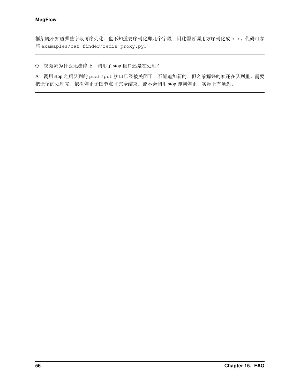框架既不知道哪些字段可序列化,也不知道要序列化那几个字段,因此需要调用方序列化成 str。代码可参 照 examaples/cat\_finder/redis\_proxy.py。

Q: 视频流为什么无法停止, 调用了 stop 接口还是在处理?

A:调用 stop 之后队列的 push/put 接口已经被关闭了,不能追加新的,但之前解好的帧还在队列里。需要 把遗留的处理完、依次停止子图节点才完全结束。流不会调用 stop 即刻停止,实际上有延迟。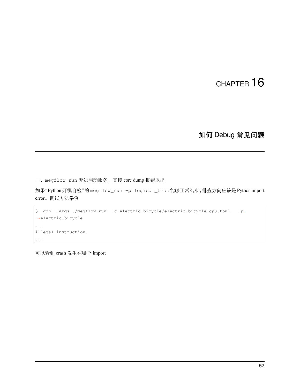### 如何 Debug 常见问题

<span id="page-60-0"></span>一、megflow\_run 无法启动服务,直接 core dump 报错退出

如果"Python 开机自检"的 megflow\_run -p logical\_test 能够正常结束,排查方向应该是 Python import error。调试方法举例

```
$ gdb --args ./megflow_run -c electric_bicycle/electric_bicycle_cpu.toml -p␣
,→electric_bicycle
...
illegal instruction
...
```
可以看到 crash 发生在哪个 import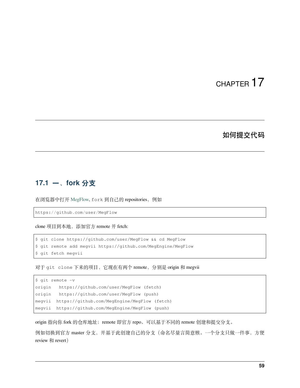#### 如何提交代码

### <span id="page-62-0"></span>**17.1 一、fork 分支**

在浏览器中打开 [MegFlow](https://github.com/MegEngine/MegFlow), fork 到自己的 repositories, 例如

https://github.com/user/MegFlow

clone 项目到本地,添加官方 remote 并 fetch:

```
$ git clone https://github.com/user/MegFlow && cd MegFlow
$ git remote add megvii https://github.com/MegEngine/MegFlow
$ git fetch megvii
```
对于 git clone 下来的项目,它现在有两个 remote,分别是 origin 和 megvii

```
$ git remote -v
origin https://github.com/user/MegFlow (fetch)
origin https://github.com/user/MegFlow (push)
megvii https://github.com/MegEngine/MegFlow (fetch)
megvii https://github.com/MegEngine/MegFlow (push)
```
origin 指向你 fork 的仓库地址; remote 即官方 repo。可以基于不同的 remote 创建和提交分支。

例如切换到官方 master 分支,并基于此创建自己的分支(命名尽量言简意赅。一个分支只做一件事,方便 review 和 revert)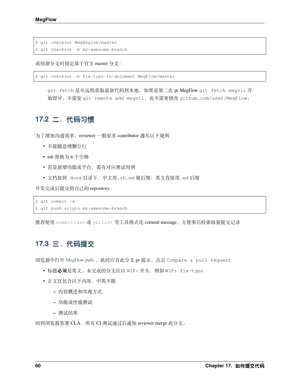```
$ git checkout MegEngine/master
$ git checkout -b my-awesome-branch
```
或创建分支时指定基于官方 master 分支:

\$ git checkout -b fix-typo-in-document MegFlow/master

git fetch 是从远程获取最新代码到本地。如果是第二次 pr MegFlow git fetch megvii 开 始即可,不需要 git remote add megvii,也不需要修改 github.com/user/MegFlow。

### **17.2 二、代码习惯**

为了增加沟通效率, reviewer 一般要求 contributor 遵从以下规则

- 不能随意增删空行
- tab 替换为 4 个空格
- 若是新增功能或平台,需有对应测试用例
- 文档放到 docs 目录下,中文用.zh.md 做后缀;英文直接用.md 后缀

开发完成后提交到自己的 repository

```
$ git commit -a
```
\$ git push origin my-awesome-branch

推荐使用 [commitizen](https://pypi.org/project/commitizen/) 或 [gitlint](https://jorisroovers.com/gitlint/) 等工具格式化 commit message,方便事后检索海量提交记录

#### **17.3 三、代码提交**

浏览器中打开 [MegFlow pulls](https://github.com/MegEngine/MegFlow/pulls) , 此时应有此分支 pr 提示, 点击 Compare & pull request

- 标题**必须**是英文。未完成的分支应以 WIP: 开头,例如 WIP: fix-typo
- 正文宜包含以下内容,中英不限
	- **–** 内容概述和实现方式
	- **–** 功能或性能测试
	- **–** 测试结果

回到浏览器签署 CLA,所有 CI 测试通过后通知 reviewer merge 此分支。